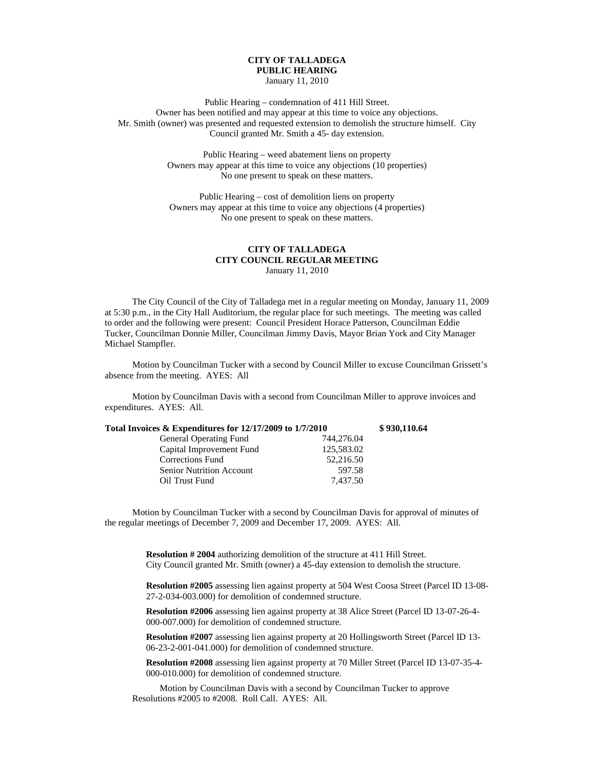## **CITY OF TALLADEGA PUBLIC HEARING**

January 11, 2010

Public Hearing – condemnation of 411 Hill Street. Owner has been notified and may appear at this time to voice any objections. Mr. Smith (owner) was presented and requested extension to demolish the structure himself. City Council granted Mr. Smith a 45- day extension.

> Public Hearing – weed abatement liens on property Owners may appear at this time to voice any objections (10 properties) No one present to speak on these matters.

Public Hearing – cost of demolition liens on property Owners may appear at this time to voice any objections (4 properties) No one present to speak on these matters.

## **CITY OF TALLADEGA CITY COUNCIL REGULAR MEETING** January 11, 2010

The City Council of the City of Talladega met in a regular meeting on Monday, January 11, 2009 at 5:30 p.m., in the City Hall Auditorium, the regular place for such meetings. The meeting was called to order and the following were present: Council President Horace Patterson, Councilman Eddie Tucker, Councilman Donnie Miller, Councilman Jimmy Davis, Mayor Brian York and City Manager Michael Stampfler.

Motion by Councilman Tucker with a second by Council Miller to excuse Councilman Grissett's absence from the meeting. AYES: All

Motion by Councilman Davis with a second from Councilman Miller to approve invoices and expenditures. AYES: All.

| Total Invoices & Expenditures for 12/17/2009 to 1/7/2010 |            | \$930,110.64 |
|----------------------------------------------------------|------------|--------------|
| <b>General Operating Fund</b>                            | 744,276.04 |              |
| Capital Improvement Fund                                 | 125,583.02 |              |
| <b>Corrections Fund</b>                                  | 52,216.50  |              |
| <b>Senior Nutrition Account</b>                          | 597.58     |              |
| Oil Trust Fund                                           | 7.437.50   |              |

Motion by Councilman Tucker with a second by Councilman Davis for approval of minutes of the regular meetings of December 7, 2009 and December 17, 2009. AYES: All.

> **Resolution # 2004** authorizing demolition of the structure at 411 Hill Street. City Council granted Mr. Smith (owner) a 45-day extension to demolish the structure.

**Resolution #2005** assessing lien against property at 504 West Coosa Street (Parcel ID 13-08- 27-2-034-003.000) for demolition of condemned structure.

**Resolution #2006** assessing lien against property at 38 Alice Street (Parcel ID 13-07-26-4- 000-007.000) for demolition of condemned structure.

**Resolution #2007** assessing lien against property at 20 Hollingsworth Street (Parcel ID 13- 06-23-2-001-041.000) for demolition of condemned structure.

**Resolution #2008** assessing lien against property at 70 Miller Street (Parcel ID 13-07-35-4- 000-010.000) for demolition of condemned structure.

Motion by Councilman Davis with a second by Councilman Tucker to approve Resolutions #2005 to #2008. Roll Call. AYES: All.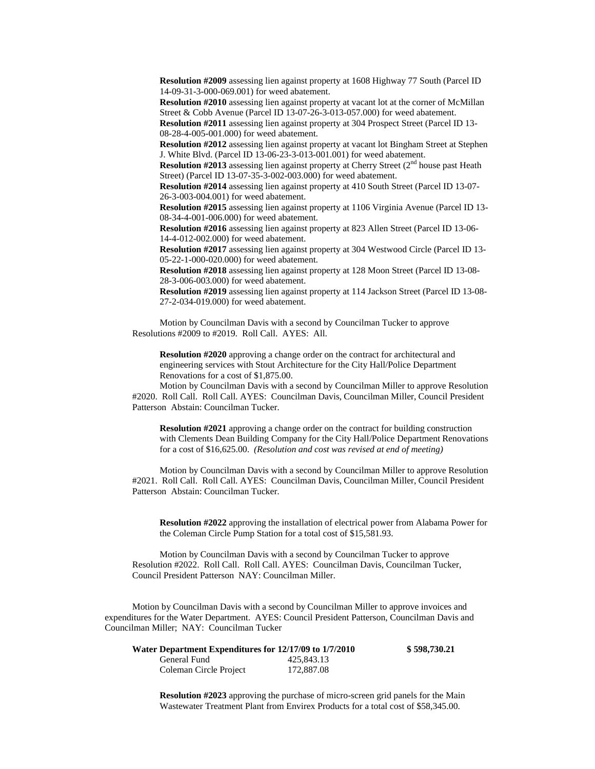**Resolution #2009** assessing lien against property at 1608 Highway 77 South (Parcel ID 14-09-31-3-000-069.001) for weed abatement.

**Resolution #2010** assessing lien against property at vacant lot at the corner of McMillan Street & Cobb Avenue (Parcel ID 13-07-26-3-013-057.000) for weed abatement.

**Resolution #2011** assessing lien against property at 304 Prospect Street (Parcel ID 13- 08-28-4-005-001.000) for weed abatement.

**Resolution #2012** assessing lien against property at vacant lot Bingham Street at Stephen J. White Blvd. (Parcel ID 13-06-23-3-013-001.001) for weed abatement.

**Resolution #2013** assessing lien against property at Cherry Street  $(2<sup>nd</sup>$  house past Heath Street) (Parcel ID 13-07-35-3-002-003.000) for weed abatement.

**Resolution #2014** assessing lien against property at 410 South Street (Parcel ID 13-07- 26-3-003-004.001) for weed abatement.

**Resolution #2015** assessing lien against property at 1106 Virginia Avenue (Parcel ID 13- 08-34-4-001-006.000) for weed abatement.

**Resolution #2016** assessing lien against property at 823 Allen Street (Parcel ID 13-06- 14-4-012-002.000) for weed abatement.

**Resolution #2017** assessing lien against property at 304 Westwood Circle (Parcel ID 13- 05-22-1-000-020.000) for weed abatement.

**Resolution #2018** assessing lien against property at 128 Moon Street (Parcel ID 13-08- 28-3-006-003.000) for weed abatement.

**Resolution #2019** assessing lien against property at 114 Jackson Street (Parcel ID 13-08- 27-2-034-019.000) for weed abatement.

Motion by Councilman Davis with a second by Councilman Tucker to approve Resolutions #2009 to #2019. Roll Call. AYES: All.

**Resolution #2020** approving a change order on the contract for architectural and engineering services with Stout Architecture for the City Hall/Police Department Renovations for a cost of \$1,875.00.

Motion by Councilman Davis with a second by Councilman Miller to approve Resolution #2020. Roll Call. Roll Call. AYES: Councilman Davis, Councilman Miller, Council President Patterson Abstain: Councilman Tucker.

**Resolution #2021** approving a change order on the contract for building construction with Clements Dean Building Company for the City Hall/Police Department Renovations for a cost of \$16,625.00. *(Resolution and cost was revised at end of meeting)*

Motion by Councilman Davis with a second by Councilman Miller to approve Resolution #2021. Roll Call. Roll Call. AYES: Councilman Davis, Councilman Miller, Council President Patterson Abstain: Councilman Tucker.

**Resolution #2022** approving the installation of electrical power from Alabama Power for the Coleman Circle Pump Station for a total cost of \$15,581.93.

Motion by Councilman Davis with a second by Councilman Tucker to approve Resolution #2022. Roll Call. Roll Call. AYES: Councilman Davis, Councilman Tucker, Council President Patterson NAY: Councilman Miller.

Motion by Councilman Davis with a second by Councilman Miller to approve invoices and expenditures for the Water Department. AYES: Council President Patterson, Councilman Davis and Councilman Miller; NAY: Councilman Tucker

| Water Department Expenditures for 12/17/09 to 1/7/2010 |            | \$598,730.21 |
|--------------------------------------------------------|------------|--------------|
| General Fund                                           | 425,843.13 |              |
| Coleman Circle Project                                 | 172,887.08 |              |

**Resolution #2023** approving the purchase of micro-screen grid panels for the Main Wastewater Treatment Plant from Envirex Products for a total cost of \$58,345.00.